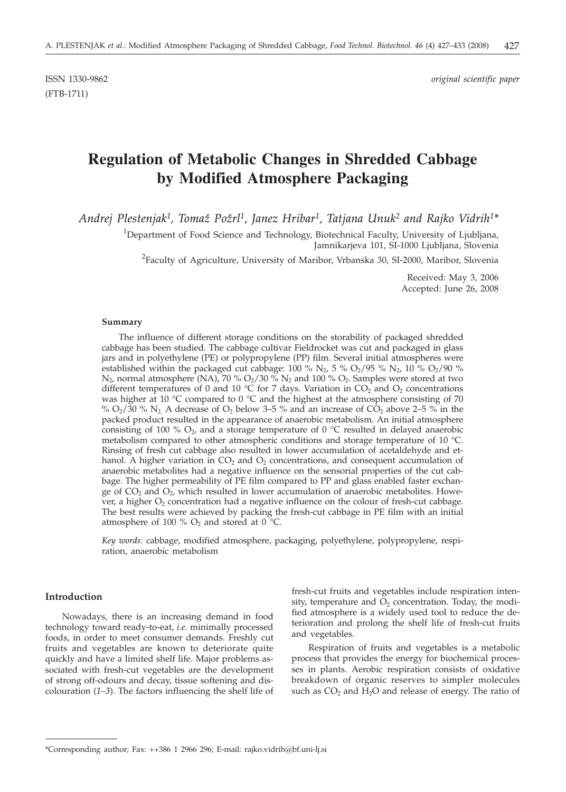(FTB-1711)

ISSN 1330-9862 *original scientific paper*

# **Regulation of Metabolic Changes in Shredded Cabbage by Modified Atmosphere Packaging**

*Andrej Plestenjak1, Toma` Po`rl1, Janez Hribar1, Tatjana Unuk2 and Rajko Vidrih1\**

<sup>1</sup>Department of Food Science and Technology, Biotechnical Faculty, University of Ljubljana, Jamnikarjeva 101, SI-1000 Ljubljana, Slovenia

 $^{2}$ Faculty of Agriculture, University of Maribor, Vrbanska 30, SI-2000, Maribor, Slovenia

Received: May 3, 2006 Accepted: June 26, 2008

#### **Summary**

The influence of different storage conditions on the storability of packaged shredded cabbage has been studied. The cabbage cultivar Fieldrocket was cut and packaged in glass jars and in polyethylene (PE) or polypropylene (PP) film. Several initial atmospheres were established within the packaged cut cabbage: 100 % N<sub>2</sub>, 5 % O<sub>2</sub>/95 % N<sub>2</sub>, 10 % O<sub>2</sub>/90 %  $N_2$ , normal atmosphere (NA), 70 %  $O_2/30$  %  $N_2$  and 100 %  $O_2$ . Samples were stored at two different temperatures of 0 and 10 °C for 7 days. Variation in  $CO_2$  and  $O_2$  concentrations was higher at 10 °C compared to 0 °C and the highest at the atmosphere consisting of 70 %  $O_2/30$  % N<sub>2</sub>. A decrease of  $O_2$  below 3–5 % and an increase of  $C_2O_2$  above 2–5 % in the packed product resulted in the appearance of anaerobic metabolism. An initial atmosphere consisting of 100 %  $O_2$ , and a storage temperature of 0 °C resulted in delayed anaerobic metabolism compared to other atmospheric conditions and storage temperature of 10 °C. Rinsing of fresh cut cabbage also resulted in lower accumulation of acetaldehyde and ethanol. A higher variation in  $CO<sub>2</sub>$  and  $O<sub>2</sub>$  concentrations, and consequent accumulation of anaerobic metabolites had a negative influence on the sensorial properties of the cut cabbage. The higher permeability of PE film compared to PP and glass enabled faster exchange of  $CO<sub>2</sub>$  and  $O<sub>2</sub>$ , which resulted in lower accumulation of anaerobic metabolites. However, a higher  $O_2$  concentration had a negative influence on the colour of fresh-cut cabbage. The best results were achieved by packing the fresh-cut cabbage in PE film with an initial atmosphere of 100 %  $O_2$  and stored at 0 °C.

*Key words*: cabbage, modified atmosphere, packaging, polyethylene, polypropylene, respiration, anaerobic metabolism

## **Introduction**

Nowadays, there is an increasing demand in food technology toward ready-to-eat, *i.e.* minimally processed foods, in order to meet consumer demands. Freshly cut fruits and vegetables are known to deteriorate quite quickly and have a limited shelf life. Major problems associated with fresh-cut vegetables are the development of strong off-odours and decay, tissue softening and discolouration (*1–3*). The factors influencing the shelf life of

fresh-cut fruits and vegetables include respiration intensity, temperature and  $O<sub>2</sub>$  concentration. Today, the modified atmosphere is a widely used tool to reduce the deterioration and prolong the shelf life of fresh-cut fruits and vegetables.

Respiration of fruits and vegetables is a metabolic process that provides the energy for biochemical processes in plants. Aerobic respiration consists of oxidative breakdown of organic reserves to simpler molecules such as  $CO<sub>2</sub>$  and  $H<sub>2</sub>O$  and release of energy. The ratio of

<sup>\*</sup>Corresponding author; Fax: ++386 1 2966 296; E-mail: rajko.vidrih@bf.uni-lj.si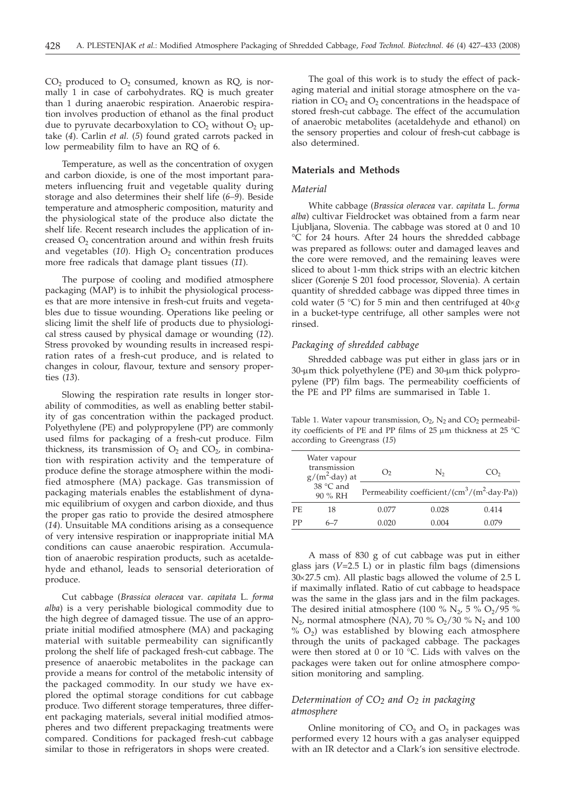$CO<sub>2</sub>$  produced to  $O<sub>2</sub>$  consumed, known as RQ, is normally 1 in case of carbohydrates. RQ is much greater than 1 during anaerobic respiration. Anaerobic respiration involves production of ethanol as the final product due to pyruvate decarboxylation to  $CO<sub>2</sub>$  without  $O<sub>2</sub>$  uptake (*4*). Carlin *et al.* (*5*) found grated carrots packed in low permeability film to have an RQ of 6.

Temperature, as well as the concentration of oxygen and carbon dioxide, is one of the most important parameters influencing fruit and vegetable quality during storage and also determines their shelf life (*6–9*). Beside temperature and atmospheric composition, maturity and the physiological state of the produce also dictate the shelf life. Recent research includes the application of increased  $O<sub>2</sub>$  concentration around and within fresh fruits and vegetables  $(10)$ . High  $O<sub>2</sub>$  concentration produces more free radicals that damage plant tissues (*11*).

The purpose of cooling and modified atmosphere packaging (MAP) is to inhibit the physiological processes that are more intensive in fresh-cut fruits and vegetables due to tissue wounding. Operations like peeling or slicing limit the shelf life of products due to physiological stress caused by physical damage or wounding (*12*). Stress provoked by wounding results in increased respiration rates of a fresh-cut produce, and is related to changes in colour, flavour, texture and sensory properties (*13*).

Slowing the respiration rate results in longer storability of commodities, as well as enabling better stability of gas concentration within the packaged product. Polyethylene (PE) and polypropylene (PP) are commonly used films for packaging of a fresh-cut produce. Film thickness, its transmission of  $O_2$  and  $CO_2$ , in combination with respiration activity and the temperature of produce define the storage atmosphere within the modified atmosphere (MA) package. Gas transmission of packaging materials enables the establishment of dynamic equilibrium of oxygen and carbon dioxide, and thus the proper gas ratio to provide the desired atmosphere (*14*). Unsuitable MA conditions arising as a consequence of very intensive respiration or inappropriate initial MA conditions can cause anaerobic respiration. Accumulation of anaerobic respiration products, such as acetaldehyde and ethanol, leads to sensorial deterioration of produce.

Cut cabbage (*Brassica oleracea* var*. capitata* L. *forma alba*) is a very perishable biological commodity due to the high degree of damaged tissue. The use of an appropriate initial modified atmosphere (MA) and packaging material with suitable permeability can significantly prolong the shelf life of packaged fresh-cut cabbage. The presence of anaerobic metabolites in the package can provide a means for control of the metabolic intensity of the packaged commodity. In our study we have explored the optimal storage conditions for cut cabbage produce. Two different storage temperatures, three different packaging materials, several initial modified atmospheres and two different prepackaging treatments were compared. Conditions for packaged fresh-cut cabbage similar to those in refrigerators in shops were created.

The goal of this work is to study the effect of packaging material and initial storage atmosphere on the variation in  $CO<sub>2</sub>$  and  $O<sub>2</sub>$  concentrations in the headspace of stored fresh-cut cabbage. The effect of the accumulation of anaerobic metabolites (acetaldehyde and ethanol) on the sensory properties and colour of fresh-cut cabbage is also determined.

## **Materials and Methods**

#### *Material*

White cabbage (*Brassica oleracea* var*. capitata* L. *forma alba*) cultivar Fieldrocket was obtained from a farm near Ljubljana, Slovenia. The cabbage was stored at 0 and 10 °C for 24 hours. After 24 hours the shredded cabbage was prepared as follows: outer and damaged leaves and the core were removed, and the remaining leaves were sliced to about 1-mm thick strips with an electric kitchen slicer (Gorenje S 201 food processor, Slovenia). A certain quantity of shredded cabbage was dipped three times in cold water (5  $\degree$ C) for 5 min and then centrifuged at  $40 \times g$ in a bucket-type centrifuge, all other samples were not rinsed.

#### *Packaging of shredded cabbage*

Shredded cabbage was put either in glass jars or in  $30$ -µm thick polyethylene (PE) and  $30$ -µm thick polypropylene (PP) film bags. The permeability coefficients of the PE and PP films are summarised in Table 1.

Table 1. Water vapour transmission,  $O_2$ ,  $N_2$  and  $CO_2$  permeability coefficients of PE and PP films of 25  $\mu$ m thickness at 25 °C according to Greengrass (*15*)

|     | Water vapour<br>transmission<br>$g/(m^2 \cdot day)$ at<br>38 °C and<br>90 % RH | O <sub>2</sub> | N,                                                                   | CO <sub>2</sub> |
|-----|--------------------------------------------------------------------------------|----------------|----------------------------------------------------------------------|-----------------|
|     |                                                                                |                | Permeability coefficient/(cm <sup>3</sup> /(m <sup>2</sup> ·day·Pa)) |                 |
| PF. | 18                                                                             | 0.077          | 0.028                                                                | 0.414           |
| PP  | 6-7                                                                            | 0.020          | 0.004                                                                | 0.079           |

A mass of 830 g of cut cabbage was put in either glass jars (*V*=2.5 L) or in plastic film bags (dimensions  $30\times27.5$  cm). All plastic bags allowed the volume of 2.5 L if maximally inflated. Ratio of cut cabbage to headspace was the same in the glass jars and in the film packages. The desired initial atmosphere (100 %  $N_2$ , 5 %  $O_2/95$  %  $N_2$ , normal atmosphere (NA), 70 %  $O_2/30$  %  $N_2$  and 100  $\%$  O<sub>2</sub>) was established by blowing each atmosphere through the units of packaged cabbage. The packages were then stored at 0 or 10 °C. Lids with valves on the packages were taken out for online atmosphere composition monitoring and sampling.

## *Determination of CO2 and O2 in packaging atmosphere*

Online monitoring of  $CO<sub>2</sub>$  and  $O<sub>2</sub>$  in packages was performed every 12 hours with a gas analyser equipped with an IR detector and a Clark's ion sensitive electrode.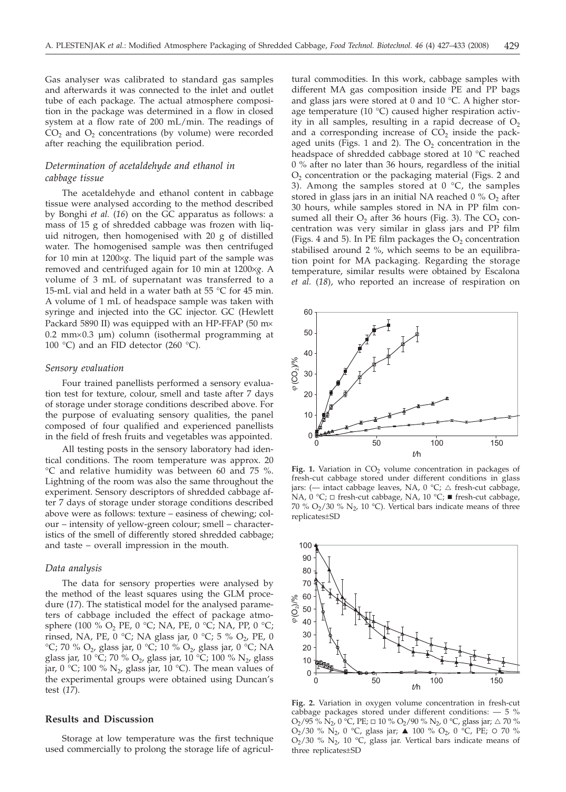Gas analyser was calibrated to standard gas samples and afterwards it was connected to the inlet and outlet tube of each package. The actual atmosphere composition in the package was determined in a flow in closed system at a flow rate of 200 mL/min. The readings of  $CO<sub>2</sub>$  and  $O<sub>2</sub>$  concentrations (by volume) were recorded after reaching the equilibration period.

## *Determination of acetaldehyde and ethanol in cabbage tissue*

The acetaldehyde and ethanol content in cabbage tissue were analysed according to the method described by Bonghi *et al.* (*16*) on the GC apparatus as follows: a mass of 15 g of shredded cabbage was frozen with liquid nitrogen, then homogenised with 20 g of distilled water. The homogenised sample was then centrifuged for 10 min at 1200×*g*. The liquid part of the sample was removed and centrifuged again for 10 min at 1200×*g*. A volume of 3 mL of supernatant was transferred to a 15-mL vial and held in a water bath at 55 °C for 45 min. A volume of 1 mL of headspace sample was taken with syringe and injected into the GC injector. GC (Hewlett Packard 5890 II) was equipped with an HP-FFAP (50 m $\times$  $0.2$  mm $\times$ 0.3 µm) column (isothermal programming at 100 °C) and an FID detector (260 °C).

#### *Sensory evaluation*

Four trained panellists performed a sensory evaluation test for texture, colour, smell and taste after 7 days of storage under storage conditions described above. For the purpose of evaluating sensory qualities, the panel composed of four qualified and experienced panellists in the field of fresh fruits and vegetables was appointed.

All testing posts in the sensory laboratory had identical conditions. The room temperature was approx. 20 °C and relative humidity was between 60 and 75 %. Lightning of the room was also the same throughout the experiment. Sensory descriptors of shredded cabbage after 7 days of storage under storage conditions described above were as follows: texture – easiness of chewing; colour – intensity of yellow-green colour; smell – characteristics of the smell of differently stored shredded cabbage; and taste – overall impression in the mouth.

#### *Data analysis*

The data for sensory properties were analysed by the method of the least squares using the GLM procedure (*17*). The statistical model for the analysed parameters of cabbage included the effect of package atmosphere (100 % O<sub>2</sub> PE, 0 °C; NA, PE, 0 °C; NA, PP, 0 °C; rinsed, NA, PE, 0 °C; NA glass jar, 0 °C; 5 % O<sub>2</sub>, PE, 0 °C; 70 % O<sub>2</sub>, glass jar, 0 °C; 10 % O<sub>2</sub>, glass jar, 0 °C; NA glass jar, 10 °C; 70 % O<sub>2</sub>, glass jar, 10 °C; 100 % N<sub>2</sub>, glass jar, 0 °C; 100 %  $N_2$ , glass jar, 10 °C). The mean values of the experimental groups were obtained using Duncan's test (*17*).

### **Results and Discussion**

Storage at low temperature was the first technique used commercially to prolong the storage life of agricul-

tural commodities. In this work, cabbage samples with different MA gas composition inside PE and PP bags and glass jars were stored at 0 and 10 °C. A higher storage temperature (10 °C) caused higher respiration activity in all samples, resulting in a rapid decrease of  $O<sub>2</sub>$ and a corresponding increase of  $CO<sub>2</sub>$  inside the packaged units (Figs. 1 and 2). The  $O<sub>2</sub>$  concentration in the headspace of shredded cabbage stored at 10 °C reached 0 % after no later than 36 hours, regardless of the initial  $O<sub>2</sub>$  concentration or the packaging material (Figs. 2 and 3). Among the samples stored at  $0^{\circ}C$ , the samples stored in glass jars in an initial NA reached  $0\%$  O<sub>2</sub> after 30 hours, while samples stored in NA in PP film consumed all their  $O_2$  after 36 hours (Fig. 3). The  $CO_2$  concentration was very similar in glass jars and PP film (Figs. 4 and 5). In PE film packages the  $O<sub>2</sub>$  concentration stabilised around 2 %, which seems to be an equilibration point for MA packaging. Regarding the storage temperature, similar results were obtained by Escalona *et al.* (*18*), who reported an increase of respiration on



Fig. 1. Variation in CO<sub>2</sub> volume concentration in packages of fresh-cut cabbage stored under different conditions in glass jars: (- intact cabbage leaves, NA,  $0 °C$ ;  $\triangle$  fresh-cut cabbage, NA,  $0 °C$ ;  $\Box$  fresh-cut cabbage, NA,  $10 °C$ ;  $\blacksquare$  fresh-cut cabbage, 70 %  $O_2/30$  %  $N_2$ , 10 °C). Vertical bars indicate means of three replicates±SD



**Fig. 2.** Variation in oxygen volume concentration in fresh-cut cabbage packages stored under different conditions:  $-5$  %  $O_2/95\%$  N<sub>2</sub>, 0 °C, PE;  $\Box$  10 %  $O_2/90\%$  N<sub>2</sub>, 0 °C, glass jar;  $\triangle$  70 %  $O_2/30$  %  $N_2$ , 0 °C, glass jar;  $\triangle$  100 %  $O_2$ , 0 °C, PE; 0 70 %  $O_2$ /30 %  $N_2$ , 10 °C, glass jar. Vertical bars indicate means of three replicates±SD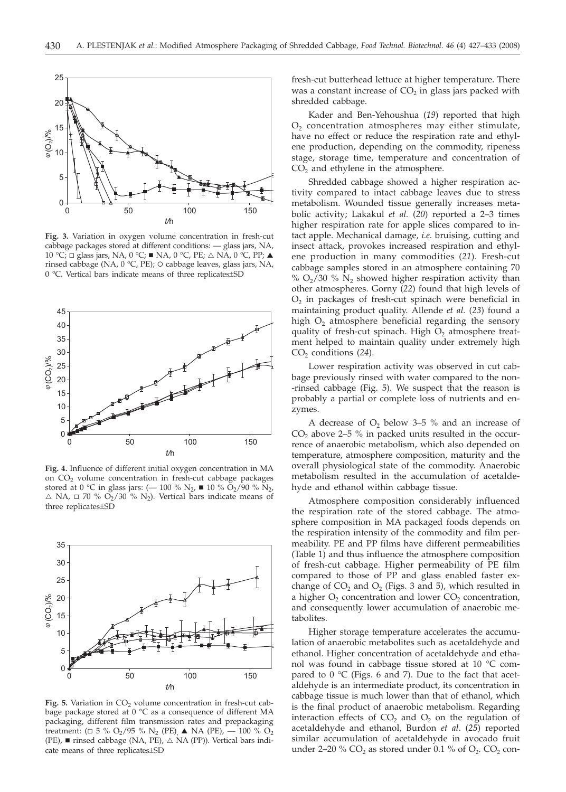

**Fig. 3.** Variation in oxygen volume concentration in fresh-cut cabbage packages stored at different conditions: — glass jars, NA,  $10 \text{ °C}$ ;  $\Box$  glass jars, NA,  $0 \text{ °C}$ ; ■ NA,  $0 \text{ °C}$ , PE;  $\triangle$  NA,  $0 \text{ °C}$ , PP;  $\blacktriangle$ rinsed cabbage (NA, 0 °C, PE); O cabbage leaves, glass jars, NA, 0 °C. Vertical bars indicate means of three replicates±SD



**Fig. 4.** Influence of different initial oxygen concentration in MA on CO<sub>2</sub> volume concentration in fresh-cut cabbage packages stored at 0 °C in glass jars: ( $-$  100 %  $\rm N_2$ ,  $\blacksquare$  10 %  $\rm \ddot{O}_2/\dot{90}$  %  $\rm \ddot{N}_2$ ,  $\triangle$  NA,  $\Box$  70 % O<sub>2</sub>/30 % N<sub>2</sub>). Vertical bars indicate means of three replicates±SD



Fig. 5. Variation in CO<sub>2</sub> volume concentration in fresh-cut cabbage package stored at 0 °C as a consequence of different MA packaging, different film transmission rates and prepackaging treatment: ( $\Box$  5 % O<sub>2</sub>/95 % N<sub>2</sub> (PE),  $\blacktriangle$  NA (PE),  $-$  100 % O<sub>2</sub> (PE),  $\blacksquare$  rinsed cabbage (NA, PE),  $\triangle$  NA (PP)). Vertical bars indicate means of three replicates±SD

fresh-cut butterhead lettuce at higher temperature. There was a constant increase of  $CO<sub>2</sub>$  in glass jars packed with shredded cabbage.

Kader and Ben-Yehoushua (*19*) reported that high  $O<sub>2</sub>$  concentration atmospheres may either stimulate, have no effect or reduce the respiration rate and ethylene production, depending on the commodity, ripeness stage, storage time, temperature and concentration of  $CO<sub>2</sub>$  and ethylene in the atmosphere.

Shredded cabbage showed a higher respiration activity compared to intact cabbage leaves due to stress metabolism. Wounded tissue generally increases metabolic activity; Lakakul *et al.* (*20*) reported a 2–3 times higher respiration rate for apple slices compared to intact apple. Mechanical damage, *i.e.* bruising, cutting and insect attack, provokes increased respiration and ethylene production in many commodities (*21*). Fresh-cut cabbage samples stored in an atmosphere containing 70 %  $O_2/30$  %  $N_2$  showed higher respiration activity than other atmospheres. Gorny (*22*) found that high levels of O<sub>2</sub> in packages of fresh-cut spinach were beneficial in maintaining product quality. Allende *et al.* (*23*) found a high  $O<sub>2</sub>$  atmosphere beneficial regarding the sensory quality of fresh-cut spinach. High  $O<sub>2</sub>$  atmosphere treatment helped to maintain quality under extremely high CO2 conditions (*24*).

Lower respiration activity was observed in cut cabbage previously rinsed with water compared to the non- -rinsed cabbage (Fig. 5). We suspect that the reason is probably a partial or complete loss of nutrients and enzymes.

A decrease of  $O_2$  below 3–5 % and an increase of  $CO<sub>2</sub>$  above 2–5 % in packed units resulted in the occurrence of anaerobic metabolism, which also depended on temperature, atmosphere composition, maturity and the overall physiological state of the commodity. Anaerobic metabolism resulted in the accumulation of acetaldehyde and ethanol within cabbage tissue.

Atmosphere composition considerably influenced the respiration rate of the stored cabbage. The atmosphere composition in MA packaged foods depends on the respiration intensity of the commodity and film permeability. PE and PP films have different permeabilities (Table 1) and thus influence the atmosphere composition of fresh-cut cabbage. Higher permeability of PE film compared to those of PP and glass enabled faster exchange of  $CO<sub>2</sub>$  and  $O<sub>2</sub>$  (Figs. 3 and 5), which resulted in a higher  $O_2$  concentration and lower  $CO_2$  concentration, and consequently lower accumulation of anaerobic metabolites.

Higher storage temperature accelerates the accumulation of anaerobic metabolites such as acetaldehyde and ethanol. Higher concentration of acetaldehyde and ethanol was found in cabbage tissue stored at 10 °C compared to  $0^{\circ}$ C (Figs. 6 and 7). Due to the fact that acetaldehyde is an intermediate product, its concentration in cabbage tissue is much lower than that of ethanol, which is the final product of anaerobic metabolism. Regarding interaction effects of  $CO<sub>2</sub>$  and  $O<sub>2</sub>$  on the regulation of acetaldehyde and ethanol, Burdon *et al*. (*25*) reported similar accumulation of acetaldehyde in avocado fruit under 2–20 %  $CO<sub>2</sub>$  as stored under 0.1 % of  $O<sub>2</sub>$ .  $CO<sub>2</sub>$  con-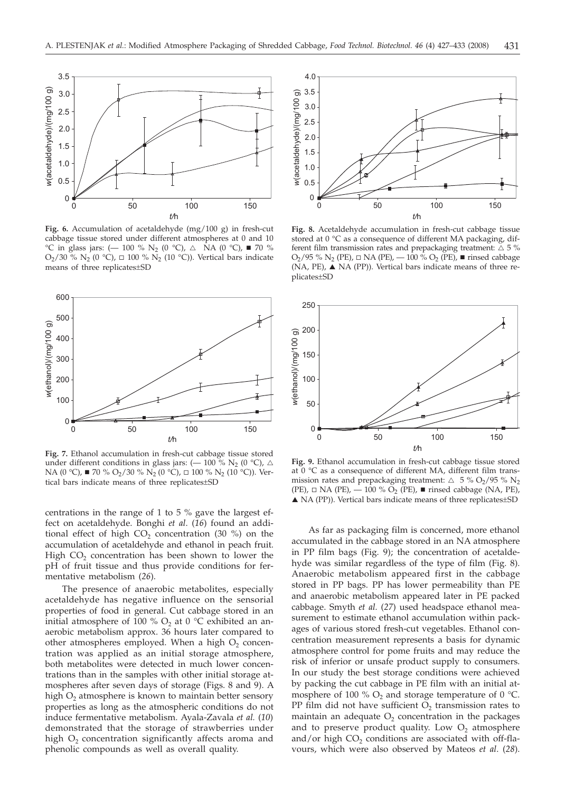

**Fig. 6.** Accumulation of acetaldehyde (mg/100 g) in fresh-cut cabbage tissue stored under different atmospheres at 0 and 10  $^{\circ}$ C in glass jars: (-100 % N<sub>2</sub> (0  $^{\circ}$ C),  $\triangle$  NA (0  $^{\circ}$ C),  $\blacksquare$  70 %  $O_2/30\%$  N<sub>2</sub> (0 °C),  $\Box$  100 % N<sub>2</sub> (10 °C)). Vertical bars indicate means of three replicates±SD



**Fig. 7.** Ethanol accumulation in fresh-cut cabbage tissue stored under different conditions in glass jars: ( $-$  100 % N<sub>2</sub> (0 °C),  $\triangle$ NA (0 °C), ■ 70 % O<sub>2</sub>/30 % N<sub>2</sub> (0 °C), □ 100 % N<sub>2</sub> (10 °C)). Vertical bars indicate means of three replicates±SD

centrations in the range of 1 to 5 % gave the largest effect on acetaldehyde. Bonghi *et al*. (*16*) found an additional effect of high  $CO<sub>2</sub>$  concentration (30 %) on the accumulation of acetaldehyde and ethanol in peach fruit. High  $CO<sub>2</sub>$  concentration has been shown to lower the pH of fruit tissue and thus provide conditions for fermentative metabolism (*26*).

The presence of anaerobic metabolites, especially acetaldehyde has negative influence on the sensorial properties of food in general. Cut cabbage stored in an initial atmosphere of 100 %  $O_2$  at 0 °C exhibited an anaerobic metabolism approx. 36 hours later compared to other atmospheres employed. When a high  $O<sub>2</sub>$  concentration was applied as an initial storage atmosphere, both metabolites were detected in much lower concentrations than in the samples with other initial storage atmospheres after seven days of storage (Figs. 8 and 9). A high O<sub>2</sub> atmosphere is known to maintain better sensory properties as long as the atmospheric conditions do not induce fermentative metabolism. Ayala-Zavala *et al.* (*10*) demonstrated that the storage of strawberries under high  $O<sub>2</sub>$  concentration significantly affects aroma and phenolic compounds as well as overall quality.



**Fig. 8.** Acetaldehyde accumulation in fresh-cut cabbage tissue stored at 0 °C as a consequence of different MA packaging, different film transmission rates and prepackaging treatment:  $\triangle$  5 %  $O_2/95$  %  $N_2$  (PE),  $□$  NA (PE),  $-100$  %  $O_2$  (PE), ■ rinsed cabbage (NA, PE), ▲ NA (PP)). Vertical bars indicate means of three replicates±SD



**Fig. 9.** Ethanol accumulation in fresh-cut cabbage tissue stored at 0 °C as a consequence of different MA, different film transmission rates and prepackaging treatment:  $\triangle$  5 % O<sub>2</sub>/95 % N<sub>2</sub> (PE),  $\Box$  NA (PE),  $\overline{\phantom{0}}$  100 %  $\overline{O}_2$  (PE),  $\blacksquare$  rinsed cabbage (NA, PE), ▲ NA (PP)). Vertical bars indicate means of three replicates±SD

As far as packaging film is concerned, more ethanol accumulated in the cabbage stored in an NA atmosphere in PP film bags (Fig. 9); the concentration of acetaldehyde was similar regardless of the type of film (Fig. 8). Anaerobic metabolism appeared first in the cabbage stored in PP bags. PP has lower permeability than PE and anaerobic metabolism appeared later in PE packed cabbage. Smyth *et al.* (*27*) used headspace ethanol measurement to estimate ethanol accumulation within packages of various stored fresh-cut vegetables. Ethanol concentration measurement represents a basis for dynamic atmosphere control for pome fruits and may reduce the risk of inferior or unsafe product supply to consumers. In our study the best storage conditions were achieved by packing the cut cabbage in PE film with an initial atmosphere of 100 %  $O_2$  and storage temperature of 0 °C. PP film did not have sufficient  $O_2$  transmission rates to maintain an adequate  $O<sub>2</sub>$  concentration in the packages and to preserve product quality. Low  $O_2$  atmosphere and/or high  $CO<sub>2</sub>$  conditions are associated with off-flavours, which were also observed by Mateos *et al*. (*28*).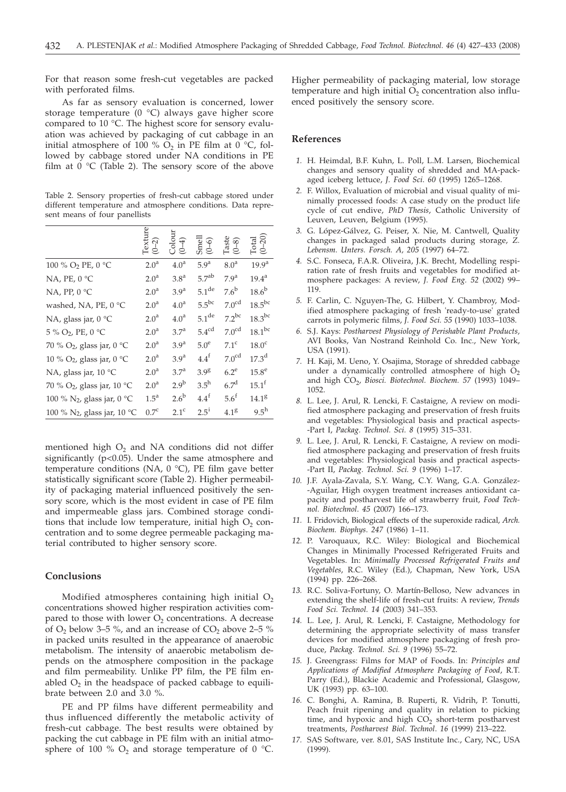For that reason some fresh-cut vegetables are packed with perforated films.

As far as sensory evaluation is concerned, lower storage temperature (0 °C) always gave higher score compared to 10 °C. The highest score for sensory evaluation was achieved by packaging of cut cabbage in an initial atmosphere of 100 %  $O_2$  in PE film at 0 °C, followed by cabbage stored under NA conditions in PE film at  $0 °C$  (Table 2). The sensory score of the above

Table 2. Sensory properties of fresh-cut cabbage stored under different temperature and atmosphere conditions. Data represent means of four panellists

|                                         | Texture<br>(0–2) | Colour<br>(0–4)  | Smell<br>(0-6)      | $\begin{array}{c} \text{Take} \\ (0\text{--}8) \end{array}$ | $\begin{array}{c} \text{Total} \\ (0\text{--}20) \end{array}$ |
|-----------------------------------------|------------------|------------------|---------------------|-------------------------------------------------------------|---------------------------------------------------------------|
| 100 % O <sub>2</sub> PE, 0 °C           | 2.0 <sup>a</sup> | 4.0 <sup>a</sup> | 5.9 <sup>a</sup>    | 8.0 <sup>a</sup>                                            | 19.9 <sup>a</sup>                                             |
| NA, PE, 0 °C                            | 2.0 <sup>a</sup> | 3.8 <sup>a</sup> | 5.7 <sup>ab</sup>   | 7.9 <sup>a</sup>                                            | $19.4^{\text{a}}$                                             |
| NA, PP, $0^{\circ}C$                    | 2.0 <sup>a</sup> | 3.9 <sup>a</sup> | $5.1$ <sup>de</sup> | $7.6^{\rm b}$                                               | $18.6^{\rm b}$                                                |
| washed, NA, PE, 0 °C                    | 2.0 <sup>a</sup> | 4.0 <sup>a</sup> | $5.5^{bc}$          | 7.0 <sup>cd</sup>                                           | $18.5^{bc}$                                                   |
| NA, glass jar, 0 °C                     | 2.0 <sup>a</sup> | 4.0 <sup>a</sup> | $5.1$ <sup>de</sup> | $7.2^{bc}$                                                  | $18.3$ bc                                                     |
| 5 % O2, PE, 0 °C                        | 2.0 <sup>a</sup> | 3.7 <sup>a</sup> | $5.4^{\text{cd}}$   | 7.0 <sup>cd</sup>                                           | $18.1^{bc}$                                                   |
| 70 % O <sub>2</sub> , glass jar, 0 °C   | 2.0 <sup>a</sup> | 3.9 <sup>a</sup> | $5.0^e$             | $7.1^\circ$                                                 | 18.0 <sup>c</sup>                                             |
| 10 % O <sub>2</sub> , glass jar, 0 °C   | 2.0 <sup>a</sup> | 3.9 <sup>a</sup> | $4.4^{\text{f}}$    | 7.0 <sup>cd</sup>                                           | $17.3^{\rm d}$                                                |
| NA, glass jar, 10 °C                    | 2.0 <sup>a</sup> | 3.7 <sup>a</sup> | 3.98                | $6.2^e$                                                     | $15.8^e$                                                      |
| 70 % O <sub>2</sub> , glass jar, 10 °C  | 2.0 <sup>a</sup> | 2.9 <sup>b</sup> | $3.5^{\rm h}$       | 6.7 <sup>d</sup>                                            | $15.1^{\rm f}$                                                |
| 100 % N <sub>2</sub> , glass jar, 0 °C  | $1.5^{\text{a}}$ | $2.6^{\rm b}$    | $4.4^f$             | 5.6 <sup>f</sup>                                            | 14.1 <sup>g</sup>                                             |
| 100 % N <sub>2</sub> , glass jar, 10 °C | $0.7^{\circ}$    | 2.1 <sup>c</sup> | $2.5^{i}$           | 4.1 <sup>g</sup>                                            | $9.5^{\rm h}$                                                 |

mentioned high  $O<sub>2</sub>$  and NA conditions did not differ significantly (p<0.05). Under the same atmosphere and temperature conditions (NA,  $0^{\circ}$ C), PE film gave better statistically significant score (Table 2). Higher permeability of packaging material influenced positively the sensory score, which is the most evident in case of PE film and impermeable glass jars. Combined storage conditions that include low temperature, initial high  $O<sub>2</sub>$  concentration and to some degree permeable packaging material contributed to higher sensory score.

## **Conclusions**

Modified atmospheres containing high initial  $O<sub>2</sub>$ concentrations showed higher respiration activities compared to those with lower  $O<sub>2</sub>$  concentrations. A decrease of  $O_2$  below 3–5 %, and an increase of  $CO_2$  above 2–5 % in packed units resulted in the appearance of anaerobic metabolism. The intensity of anaerobic metabolism depends on the atmosphere composition in the package and film permeability. Unlike PP film, the PE film enabled  $O_2$  in the headspace of packed cabbage to equilibrate between 2.0 and 3.0 %.

PE and PP films have different permeability and thus influenced differently the metabolic activity of fresh-cut cabbage. The best results were obtained by packing the cut cabbage in PE film with an initial atmosphere of 100 %  $O_2$  and storage temperature of 0 °C.

Higher permeability of packaging material, low storage temperature and high initial  $O_2$  concentration also influenced positively the sensory score.

## **References**

- *1.* H. Heimdal, B.F. Kuhn, L. Poll, L.M. Larsen, Biochemical changes and sensory quality of shredded and MA-packaged iceberg lettuce, *J. Food Sci*. *60* (1995) 1265–1268.
- *2.* F. Willox, Evaluation of microbial and visual quality of minimally processed foods: A case study on the product life cycle of cut endive, *PhD Thesis*, Catholic University of Leuven, Leuven, Belgium (1995).
- *3.* G. López-Gálvez, G. Peiser, X. Nie, M. Cantwell, Quality changes in packaged salad products during storage, *Z. Lebensm. Unters. Forsch. A, 205* (1997) 64–72.
- *4.* S.C. Fonseca, F.A.R. Oliveira, J.K. Brecht, Modelling respiration rate of fresh fruits and vegetables for modified atmosphere packages: A review, *J. Food Eng. 52* (2002) 99– 119.
- *5.* F. Carlin, C. Nguyen-The, G. Hilbert, Y. Chambroy, Modified atmosphere packaging of fresh 'ready-to-use' grated carrots in polymeric films, *J. Food Sci. 55* (1990) 1033-1038.
- *6.* S.J. Kays: *Postharvest Physiology of Perishable Plant Products,* AVI Books, Van Nostrand Reinhold Co. Inc., New York, USA (1991).
- *7.* H. Kaji, M. Ueno, Y. Osajima, Storage of shredded cabbage under a dynamically controlled atmosphere of high  $O<sub>2</sub>$ and high CO<sub>2</sub>, *Biosci. Biotechnol. Biochem.* 57 (1993) 1049-1052.
- *8.* L. Lee, J. Arul, R. Lencki, F. Castaigne, A review on modified atmosphere packaging and preservation of fresh fruits and vegetables: Physiological basis and practical aspects- -Part I, *Packag. Technol. Sci. 8* (1995) 315–331.
- *9.* L. Lee, J. Arul, R. Lencki, F. Castaigne, A review on modified atmosphere packaging and preservation of fresh fruits and vegetables: Physiological basis and practical aspects- -Part II, *Packag. Technol. Sci. 9* (1996) 1–17.
- *10.* J.F. Ayala-Zavala, S.Y. Wang, C.Y. Wang, G.A. González- -Aguilar, High oxygen treatment increases antioxidant capacity and postharvest life of strawberry fruit, *Food Technol. Biotechnol*. *45* (2007) 166–173.
- *11.* I. Fridovich, Biological effects of the superoxide radical, *Arch. Biochem. Biophys*. *247* (1986) 1–11.
- *12.* P. Varoquaux, R.C. Wiley: Biological and Biochemical Changes in Minimally Processed Refrigerated Fruits and Vegetables. In: *Minimally Processed Refrigerated Fruits and Vegetables*, R.C. Wiley (Ed.), Chapman, New York, USA (1994) pp. 226–268.
- *13.* R.C. Soliva-Fortuny, O. Martín-Belloso, New advances in extending the shelf-life of fresh-cut fruits: A review, *Trends Food Sci. Technol. 14* (2003) 341–353.
- *14.* L. Lee, J. Arul, R. Lencki, F. Castaigne, Methodology for determining the appropriate selectivity of mass transfer devices for modified atmosphere packaging of fresh produce, *Packag. Technol. Sci. 9* (1996) 55–72.
- *15.* J. Greengrass: Films for MAP of Foods. In: *Principles and Applications of Modified Atmosphere Packaging of Food*, R.T. Parry (Ed.), Blackie Academic and Professional, Glasgow, UK (1993) pp. 63–100.
- *16.* C. Bonghi, A. Ramina, B. Ruperti, R. Vidrih, P. Tonutti, Peach fruit ripening and quality in relation to picking time, and hypoxic and high  $CO<sub>2</sub>$  short-term postharvest treatments, *Postharvest Biol. Technol*. *16* (1999) 213–222.
- *17.* SAS Software, ver. 8.01, SAS Institute Inc., Cary, NC, USA (1999)*.*